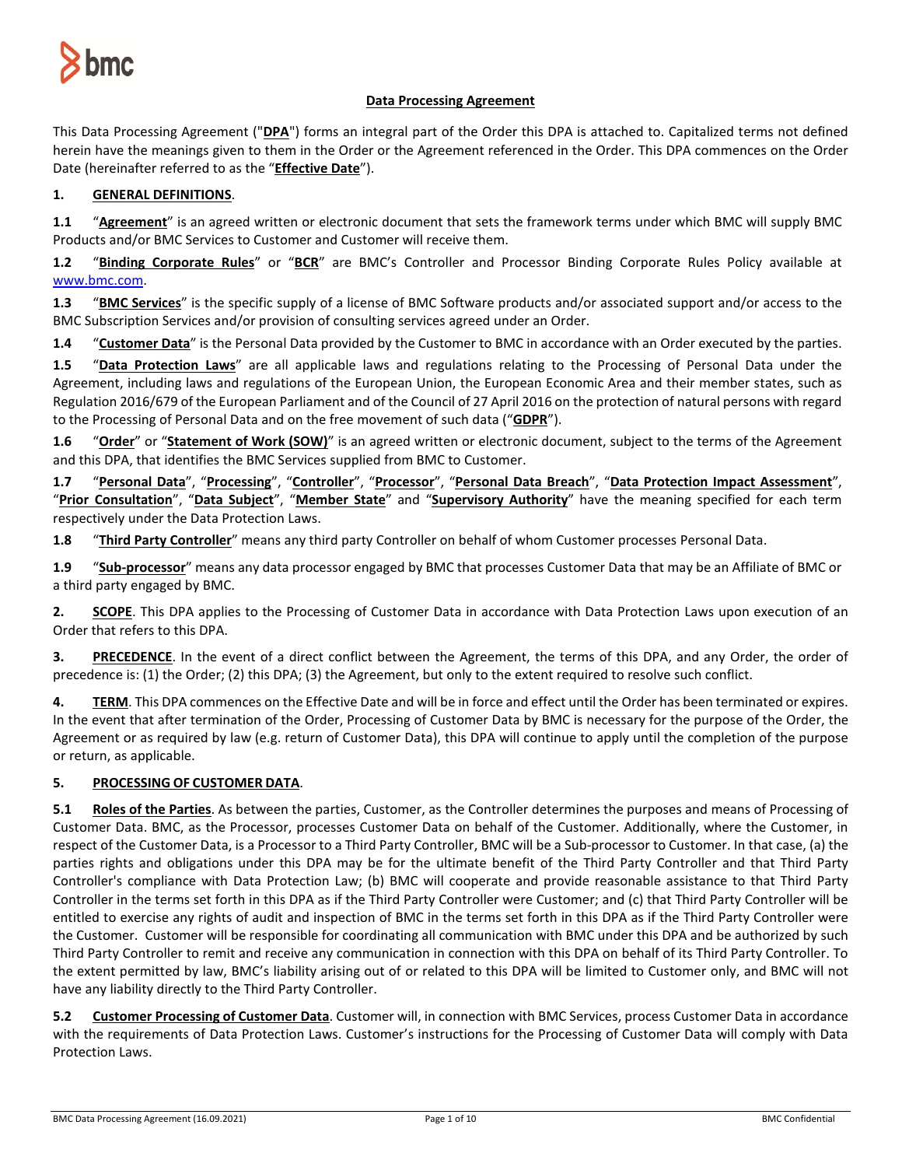

# **Data Processing Agreement**

This Data Processing Agreement ("**DPA**") forms an integral part of the Order this DPA is attached to. Capitalized terms not defined herein have the meanings given to them in the Order or the Agreement referenced in the Order. This DPA commences on the Order Date (hereinafter referred to as the "**Effective Date**").

# **1. GENERAL DEFINITIONS**.

**1.1** "**Agreement**" is an agreed written or electronic document that sets the framework terms under which BMC will supply BMC Products and/or BMC Services to Customer and Customer will receive them.

**1.2** "**Binding Corporate Rules**" or "**BCR**" are BMC's Controller and Processor Binding Corporate Rules Policy available at [www.bmc.com.](http://www.bmc.com/)

**1.3** "**BMC Services**" is the specific supply of a license of BMC Software products and/or associated support and/or access to the BMC Subscription Services and/or provision of consulting services agreed under an Order.

**1.4** "**Customer Data**" is the Personal Data provided by the Customer to BMC in accordance with an Order executed by the parties.

**1.5** "**Data Protection Laws**" are all applicable laws and regulations relating to the Processing of Personal Data under the Agreement, including laws and regulations of the European Union, the European Economic Area and their member states, such as Regulation 2016/679 of the European Parliament and of the Council of 27 April 2016 on the protection of natural persons with regard to the Processing of Personal Data and on the free movement of such data ("**GDPR**").

**1.6** "**Order**" or "**Statement of Work (SOW)**" is an agreed written or electronic document, subject to the terms of the Agreement and this DPA, that identifies the BMC Services supplied from BMC to Customer.

**1.7** "**Personal Data**", "**Processing**", "**Controller**", "**Processor**", "**Personal Data Breach**", "**Data Protection Impact Assessment**", "**Prior Consultation**", "**Data Subject**", "**Member State**" and "**Supervisory Authority**" have the meaning specified for each term respectively under the Data Protection Laws.

**1.8** "**Third Party Controller**" means any third party Controller on behalf of whom Customer processes Personal Data.

**1.9** "**Sub-processor**" means any data processor engaged by BMC that processes Customer Data that may be an Affiliate of BMC or a third party engaged by BMC.

**2. SCOPE**. This DPA applies to the Processing of Customer Data in accordance with Data Protection Laws upon execution of an Order that refers to this DPA.

**3. PRECEDENCE**. In the event of a direct conflict between the Agreement, the terms of this DPA, and any Order, the order of precedence is: (1) the Order; (2) this DPA; (3) the Agreement, but only to the extent required to resolve such conflict.

**4. TERM**. This DPA commences on the Effective Date and will be in force and effect until the Order has been terminated or expires. In the event that after termination of the Order, Processing of Customer Data by BMC is necessary for the purpose of the Order, the Agreement or as required by law (e.g. return of Customer Data), this DPA will continue to apply until the completion of the purpose or return, as applicable.

# **5. PROCESSING OF CUSTOMER DATA**.

**5.1 Roles of the Parties**. As between the parties, Customer, as the Controller determines the purposes and means of Processing of Customer Data. BMC, as the Processor, processes Customer Data on behalf of the Customer. Additionally, where the Customer, in respect of the Customer Data, is a Processor to a Third Party Controller, BMC will be a Sub-processor to Customer. In that case, (a) the parties rights and obligations under this DPA may be for the ultimate benefit of the Third Party Controller and that Third Party Controller's compliance with Data Protection Law; (b) BMC will cooperate and provide reasonable assistance to that Third Party Controller in the terms set forth in this DPA as if the Third Party Controller were Customer; and (c) that Third Party Controller will be entitled to exercise any rights of audit and inspection of BMC in the terms set forth in this DPA as if the Third Party Controller were the Customer. Customer will be responsible for coordinating all communication with BMC under this DPA and be authorized by such Third Party Controller to remit and receive any communication in connection with this DPA on behalf of its Third Party Controller. To the extent permitted by law, BMC's liability arising out of or related to this DPA will be limited to Customer only, and BMC will not have any liability directly to the Third Party Controller.

**5.2 Customer Processing of Customer Data**. Customer will, in connection with BMC Services, process Customer Data in accordance with the requirements of Data Protection Laws. Customer's instructions for the Processing of Customer Data will comply with Data Protection Laws.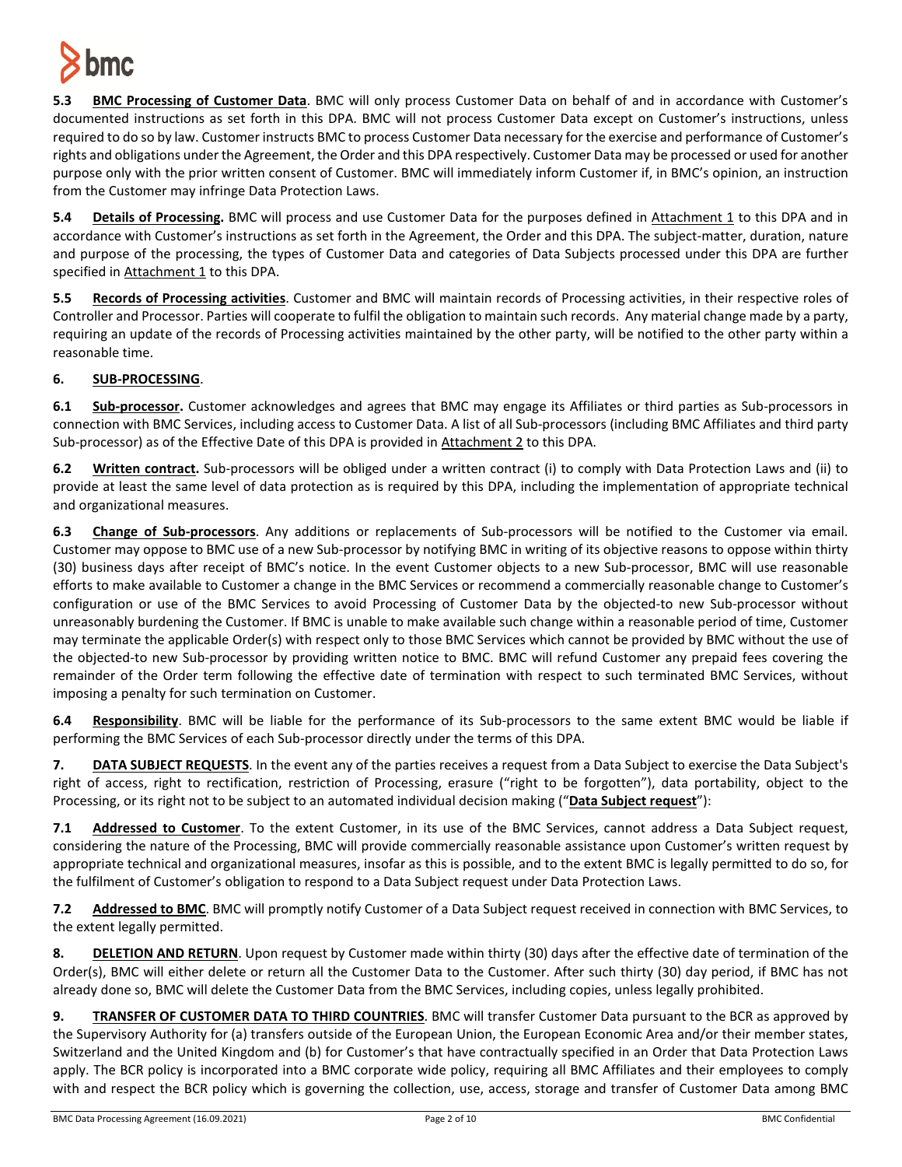

**5.3 BMC Processing of Customer Data**. BMC will only process Customer Data on behalf of and in accordance with Customer's documented instructions as set forth in this DPA. BMC will not process Customer Data except on Customer's instructions, unless required to do so by law. Customer instructs BMC to process Customer Data necessary for the exercise and performance of Customer's rights and obligations under the Agreement, the Order and this DPA respectively. Customer Data may be processed or used for another purpose only with the prior written consent of Customer. BMC will immediately inform Customer if, in BMC's opinion, an instruction from the Customer may infringe Data Protection Laws.

**5.4 Details of Processing.** BMC will process and use Customer Data for the purposes defined in Attachment 1 to this DPA and in accordance with Customer's instructions as set forth in the Agreement, the Order and this DPA. The subject-matter, duration, nature and purpose of the processing, the types of Customer Data and categories of Data Subjects processed under this DPA are further specified in Attachment 1 to this DPA.

**5.5 Records of Processing activities**. Customer and BMC will maintain records of Processing activities, in their respective roles of Controller and Processor. Parties will cooperate to fulfil the obligation to maintain such records. Any material change made by a party, requiring an update of the records of Processing activities maintained by the other party, will be notified to the other party within a reasonable time.

# **6. SUB-PROCESSING**.

**6.1 Sub-processor.** Customer acknowledges and agrees that BMC may engage its Affiliates or third parties as Sub-processors in connection with BMC Services, including access to Customer Data. A list of all Sub-processors (including BMC Affiliates and third party Sub-processor) as of the Effective Date of this DPA is provided in Attachment 2 to this DPA.

**6.2 Written contract.** Sub-processors will be obliged under a written contract (i) to comply with Data Protection Laws and (ii) to provide at least the same level of data protection as is required by this DPA, including the implementation of appropriate technical and organizational measures.

**6.3 Change of Sub-processors**. Any additions or replacements of Sub-processors will be notified to the Customer via email. Customer may oppose to BMC use of a new Sub-processor by notifying BMC in writing of its objective reasons to oppose within thirty (30) business days after receipt of BMC's notice. In the event Customer objects to a new Sub-processor, BMC will use reasonable efforts to make available to Customer a change in the BMC Services or recommend a commercially reasonable change to Customer's configuration or use of the BMC Services to avoid Processing of Customer Data by the objected-to new Sub-processor without unreasonably burdening the Customer. If BMC is unable to make available such change within a reasonable period of time, Customer may terminate the applicable Order(s) with respect only to those BMC Services which cannot be provided by BMC without the use of the objected-to new Sub-processor by providing written notice to BMC. BMC will refund Customer any prepaid fees covering the remainder of the Order term following the effective date of termination with respect to such terminated BMC Services, without imposing a penalty for such termination on Customer.

**6.4 Responsibility**. BMC will be liable for the performance of its Sub-processors to the same extent BMC would be liable if performing the BMC Services of each Sub-processor directly under the terms of this DPA.

**7. DATA SUBJECT REQUESTS**. In the event any of the parties receives a request from a Data Subject to exercise the Data Subject's right of access, right to rectification, restriction of Processing, erasure ("right to be forgotten"), data portability, object to the Processing, or its right not to be subject to an automated individual decision making ("**Data Subject request**"):

**7.1 Addressed to Customer**. To the extent Customer, in its use of the BMC Services, cannot address a Data Subject request, considering the nature of the Processing, BMC will provide commercially reasonable assistance upon Customer's written request by appropriate technical and organizational measures, insofar as this is possible, and to the extent BMC is legally permitted to do so, for the fulfilment of Customer's obligation to respond to a Data Subject request under Data Protection Laws.

**7.2 Addressed to BMC**. BMC will promptly notify Customer of a Data Subject request received in connection with BMC Services, to the extent legally permitted.

**8. DELETION AND RETURN**. Upon request by Customer made within thirty (30) days after the effective date of termination of the Order(s), BMC will either delete or return all the Customer Data to the Customer. After such thirty (30) day period, if BMC has not already done so, BMC will delete the Customer Data from the BMC Services, including copies, unless legally prohibited.

**9. TRANSFER OF CUSTOMER DATA TO THIRD COUNTRIES**. BMC will transfer Customer Data pursuant to the BCR as approved by the Supervisory Authority for (a) transfers outside of the European Union, the European Economic Area and/or their member states, Switzerland and the United Kingdom and (b) for Customer's that have contractually specified in an Order that Data Protection Laws apply. The BCR policy is incorporated into a BMC corporate wide policy, requiring all BMC Affiliates and their employees to comply with and respect the BCR policy which is governing the collection, use, access, storage and transfer of Customer Data among BMC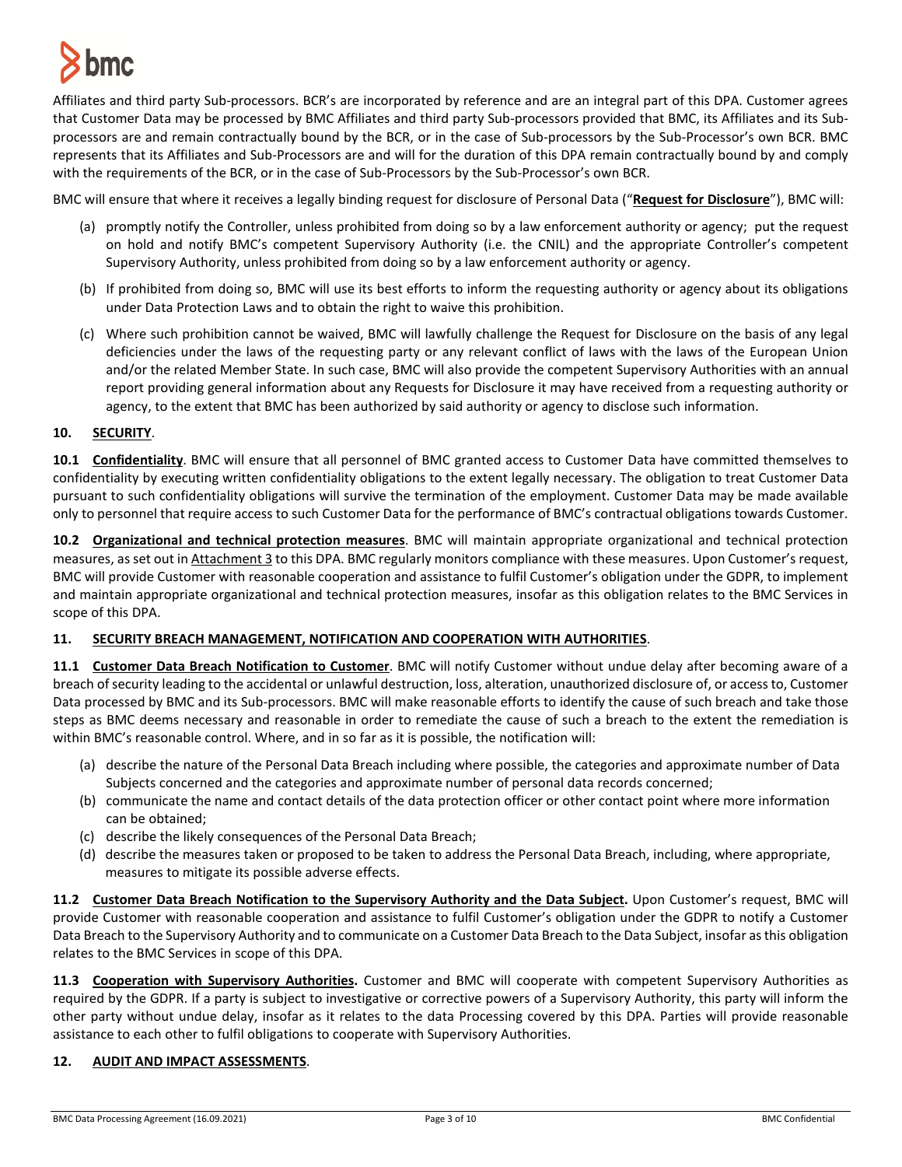

Affiliates and third party Sub-processors. BCR's are incorporated by reference and are an integral part of this DPA. Customer agrees that Customer Data may be processed by BMC Affiliates and third party Sub-processors provided that BMC, its Affiliates and its Subprocessors are and remain contractually bound by the BCR, or in the case of Sub-processors by the Sub-Processor's own BCR. BMC represents that its Affiliates and Sub-Processors are and will for the duration of this DPA remain contractually bound by and comply with the requirements of the BCR, or in the case of Sub-Processors by the Sub-Processor's own BCR.

BMC will ensure that where it receives a legally binding request for disclosure of Personal Data ("**Request for Disclosure**"), BMC will:

- (a) promptly notify the Controller, unless prohibited from doing so by a law enforcement authority or agency; put the request on hold and notify BMC's competent Supervisory Authority (i.e. the CNIL) and the appropriate Controller's competent Supervisory Authority, unless prohibited from doing so by a law enforcement authority or agency.
- (b) If prohibited from doing so, BMC will use its best efforts to inform the requesting authority or agency about its obligations under Data Protection Laws and to obtain the right to waive this prohibition.
- (c) Where such prohibition cannot be waived, BMC will lawfully challenge the Request for Disclosure on the basis of any legal deficiencies under the laws of the requesting party or any relevant conflict of laws with the laws of the European Union and/or the related Member State. In such case, BMC will also provide the competent Supervisory Authorities with an annual report providing general information about any Requests for Disclosure it may have received from a requesting authority or agency, to the extent that BMC has been authorized by said authority or agency to disclose such information.

## **10. SECURITY**.

**10.1 Confidentiality**. BMC will ensure that all personnel of BMC granted access to Customer Data have committed themselves to confidentiality by executing written confidentiality obligations to the extent legally necessary. The obligation to treat Customer Data pursuant to such confidentiality obligations will survive the termination of the employment. Customer Data may be made available only to personnel that require access to such Customer Data for the performance of BMC's contractual obligations towards Customer.

**10.2 Organizational and technical protection measures**. BMC will maintain appropriate organizational and technical protection measures, as set out in Attachment 3 to this DPA. BMC regularly monitors compliance with these measures. Upon Customer's request, BMC will provide Customer with reasonable cooperation and assistance to fulfil Customer's obligation under the GDPR, to implement and maintain appropriate organizational and technical protection measures, insofar as this obligation relates to the BMC Services in scope of this DPA.

# **11. SECURITY BREACH MANAGEMENT, NOTIFICATION AND COOPERATION WITH AUTHORITIES**.

**11.1 Customer Data Breach Notification to Customer**. BMC will notify Customer without undue delay after becoming aware of a breach of security leading to the accidental or unlawful destruction, loss, alteration, unauthorized disclosure of, or accessto, Customer Data processed by BMC and its Sub-processors. BMC will make reasonable efforts to identify the cause of such breach and take those steps as BMC deems necessary and reasonable in order to remediate the cause of such a breach to the extent the remediation is within BMC's reasonable control. Where, and in so far as it is possible, the notification will:

- (a) describe the nature of the Personal Data Breach including where possible, the categories and approximate number of Data Subjects concerned and the categories and approximate number of personal data records concerned;
- (b) communicate the name and contact details of the data protection officer or other contact point where more information can be obtained;
- (c) describe the likely consequences of the Personal Data Breach;
- (d) describe the measures taken or proposed to be taken to address the Personal Data Breach, including, where appropriate, measures to mitigate its possible adverse effects.

**11.2 Customer Data Breach Notification to the Supervisory Authority and the Data Subject.** Upon Customer's request, BMC will provide Customer with reasonable cooperation and assistance to fulfil Customer's obligation under the GDPR to notify a Customer Data Breach to the Supervisory Authority and to communicate on a Customer Data Breach to the Data Subject, insofar as this obligation relates to the BMC Services in scope of this DPA.

**11.3 Cooperation with Supervisory Authorities.** Customer and BMC will cooperate with competent Supervisory Authorities as required by the GDPR. If a party is subject to investigative or corrective powers of a Supervisory Authority, this party will inform the other party without undue delay, insofar as it relates to the data Processing covered by this DPA. Parties will provide reasonable assistance to each other to fulfil obligations to cooperate with Supervisory Authorities.

# **12. AUDIT AND IMPACT ASSESSMENTS**.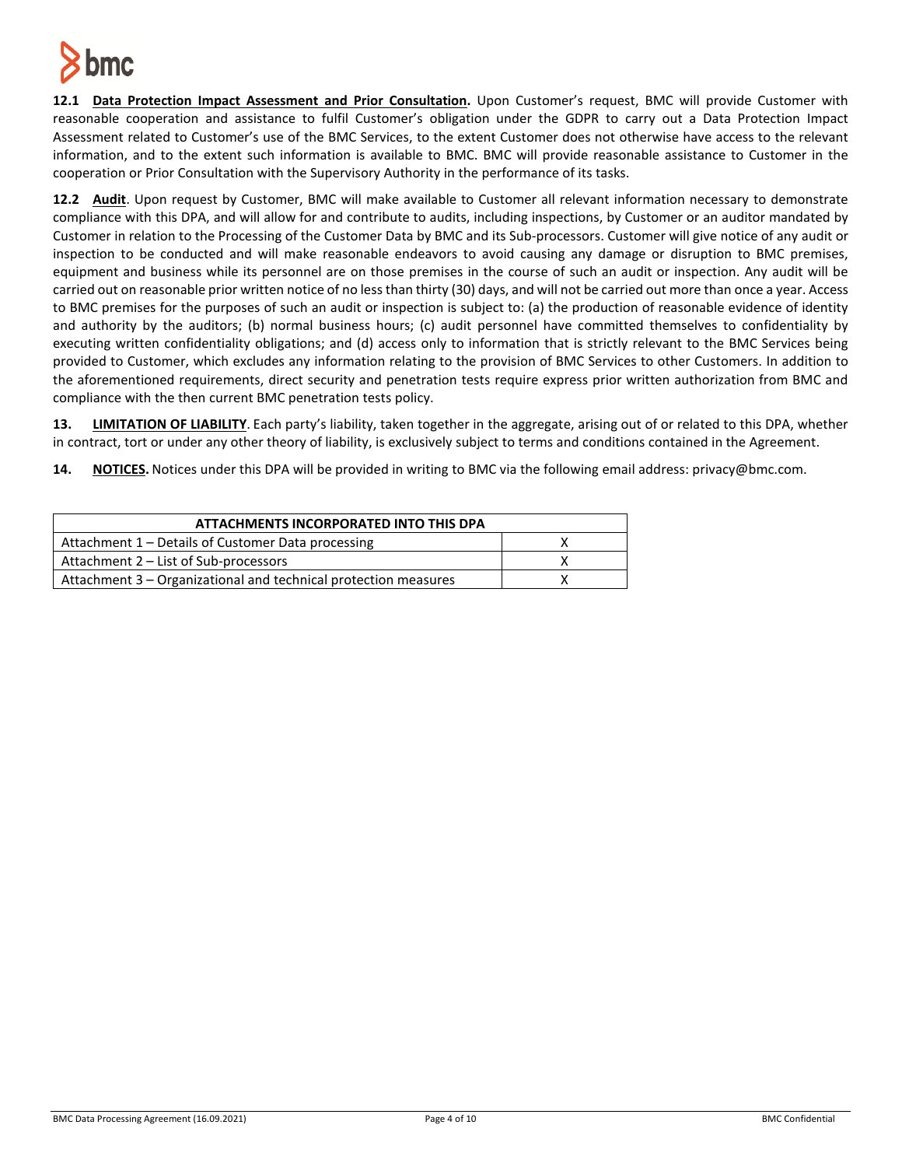

**12.1 Data Protection Impact Assessment and Prior Consultation.** Upon Customer's request, BMC will provide Customer with reasonable cooperation and assistance to fulfil Customer's obligation under the GDPR to carry out a Data Protection Impact Assessment related to Customer's use of the BMC Services, to the extent Customer does not otherwise have access to the relevant information, and to the extent such information is available to BMC. BMC will provide reasonable assistance to Customer in the cooperation or Prior Consultation with the Supervisory Authority in the performance of its tasks.

**12.2 Audit**. Upon request by Customer, BMC will make available to Customer all relevant information necessary to demonstrate compliance with this DPA, and will allow for and contribute to audits, including inspections, by Customer or an auditor mandated by Customer in relation to the Processing of the Customer Data by BMC and its Sub-processors. Customer will give notice of any audit or inspection to be conducted and will make reasonable endeavors to avoid causing any damage or disruption to BMC premises, equipment and business while its personnel are on those premises in the course of such an audit or inspection. Any audit will be carried out on reasonable prior written notice of no less than thirty (30) days, and will not be carried out more than once a year. Access to BMC premises for the purposes of such an audit or inspection is subject to: (a) the production of reasonable evidence of identity and authority by the auditors; (b) normal business hours; (c) audit personnel have committed themselves to confidentiality by executing written confidentiality obligations; and (d) access only to information that is strictly relevant to the BMC Services being provided to Customer, which excludes any information relating to the provision of BMC Services to other Customers. In addition to the aforementioned requirements, direct security and penetration tests require express prior written authorization from BMC and compliance with the then current BMC penetration tests policy.

**13. LIMITATION OF LIABILITY**. Each party's liability, taken together in the aggregate, arising out of or related to this DPA, whether in contract, tort or under any other theory of liability, is exclusively subject to terms and conditions contained in the Agreement.

**14. NOTICES.** Notices under this DPA will be provided in writing to BMC via the following email address: privacy@bmc.com.

| ATTACHMENTS INCORPORATED INTO THIS DPA                          |  |
|-----------------------------------------------------------------|--|
| Attachment 1 – Details of Customer Data processing              |  |
| Attachment 2 - List of Sub-processors                           |  |
| Attachment 3 – Organizational and technical protection measures |  |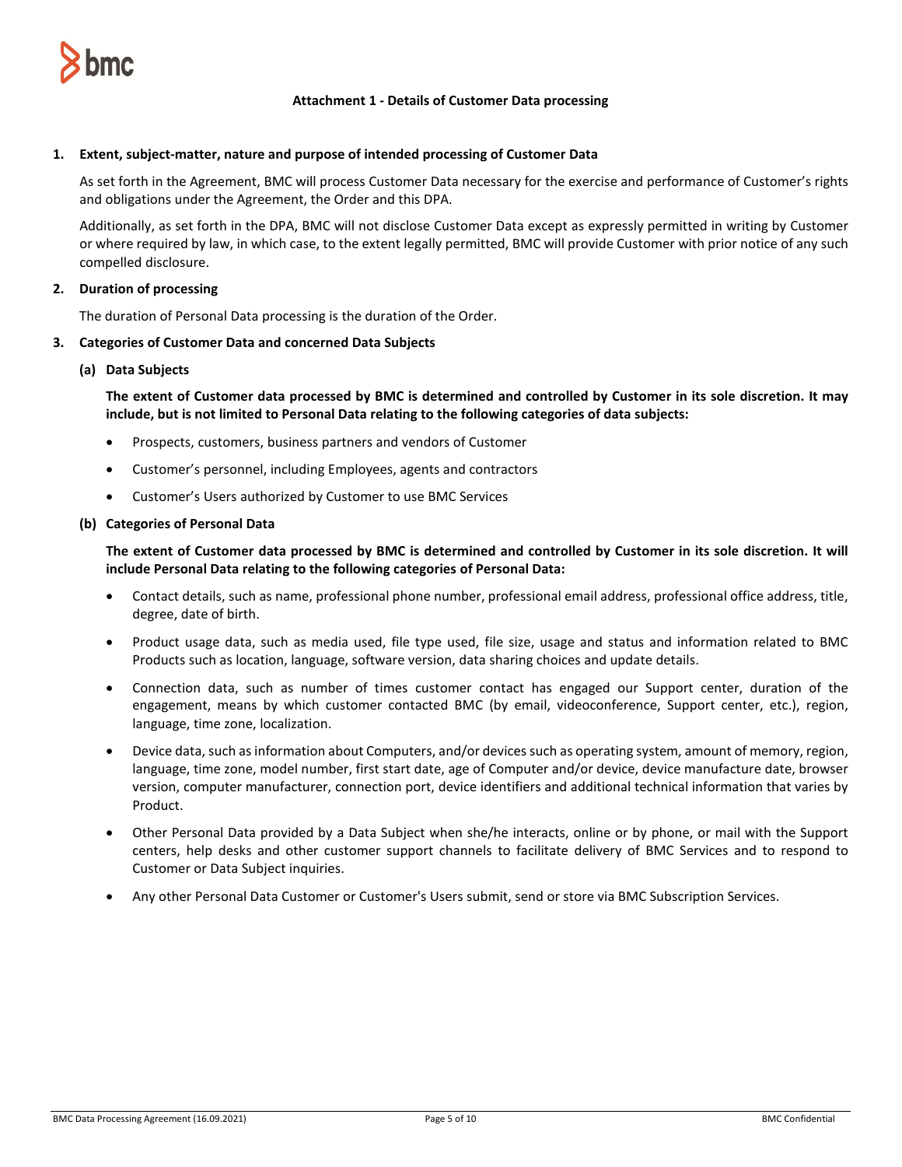

## **Attachment 1 - Details of Customer Data processing**

#### **1. Extent, subject-matter, nature and purpose of intended processing of Customer Data**

As set forth in the Agreement, BMC will process Customer Data necessary for the exercise and performance of Customer's rights and obligations under the Agreement, the Order and this DPA.

Additionally, as set forth in the DPA, BMC will not disclose Customer Data except as expressly permitted in writing by Customer or where required by law, in which case, to the extent legally permitted, BMC will provide Customer with prior notice of any such compelled disclosure.

## **2. Duration of processing**

The duration of Personal Data processing is the duration of the Order.

#### **3. Categories of Customer Data and concerned Data Subjects**

#### **(a) Data Subjects**

**The extent of Customer data processed by BMC is determined and controlled by Customer in its sole discretion. It may include, but is not limited to Personal Data relating to the following categories of data subjects:**

- Prospects, customers, business partners and vendors of Customer
- Customer's personnel, including Employees, agents and contractors
- Customer's Users authorized by Customer to use BMC Services

#### **(b) Categories of Personal Data**

**The extent of Customer data processed by BMC is determined and controlled by Customer in its sole discretion. It will include Personal Data relating to the following categories of Personal Data:**

- Contact details, such as name, professional phone number, professional email address, professional office address, title, degree, date of birth.
- Product usage data, such as media used, file type used, file size, usage and status and information related to BMC Products such as location, language, software version, data sharing choices and update details.
- Connection data, such as number of times customer contact has engaged our Support center, duration of the engagement, means by which customer contacted BMC (by email, videoconference, Support center, etc.), region, language, time zone, localization.
- Device data, such as information about Computers, and/or devices such as operating system, amount of memory, region, language, time zone, model number, first start date, age of Computer and/or device, device manufacture date, browser version, computer manufacturer, connection port, device identifiers and additional technical information that varies by Product.
- Other Personal Data provided by a Data Subject when she/he interacts, online or by phone, or mail with the Support centers, help desks and other customer support channels to facilitate delivery of BMC Services and to respond to Customer or Data Subject inquiries.
- Any other Personal Data Customer or Customer's Users submit, send or store via BMC Subscription Services.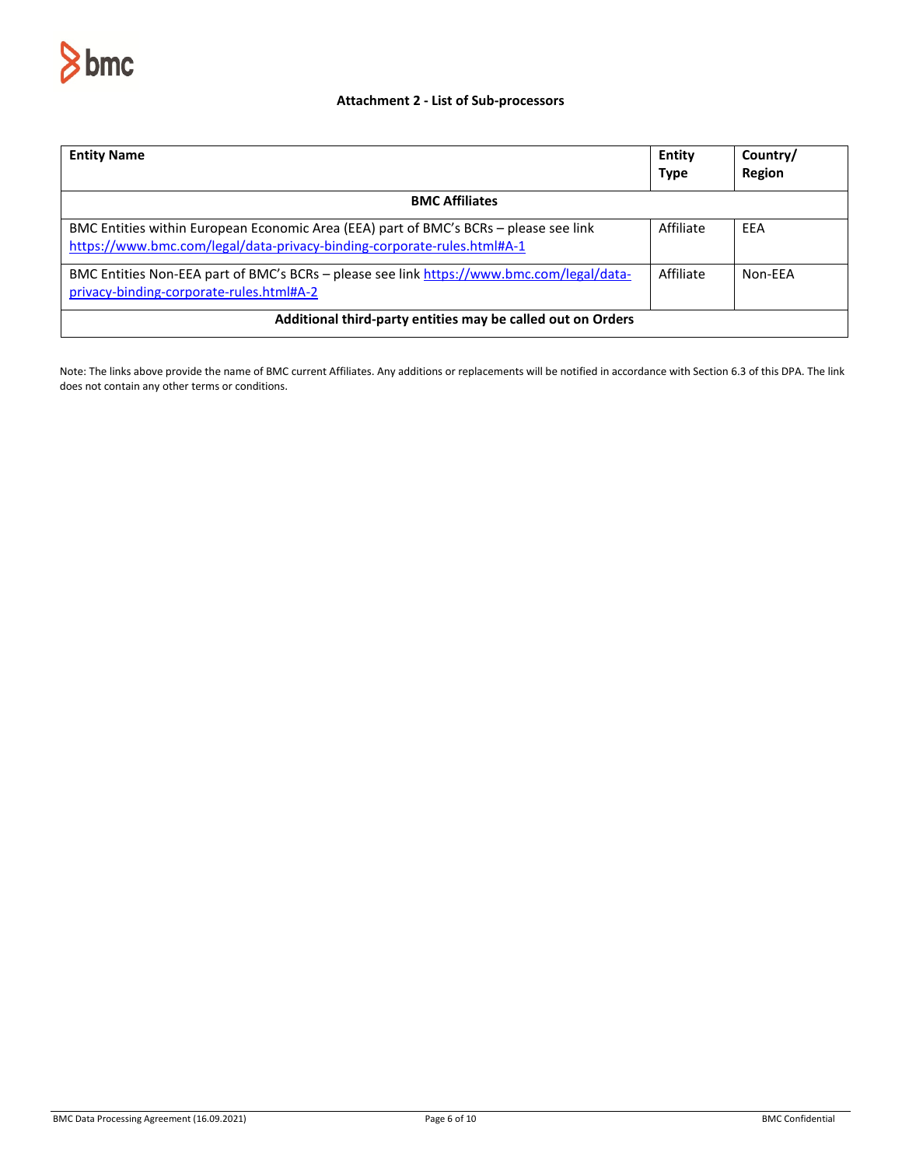

## **Attachment 2 - List of Sub-processors**

| <b>Entity Name</b>                                                                                                                                               | Entity<br><b>Type</b> | Country/<br><b>Region</b> |  |
|------------------------------------------------------------------------------------------------------------------------------------------------------------------|-----------------------|---------------------------|--|
| <b>BMC Affiliates</b>                                                                                                                                            |                       |                           |  |
| BMC Entities within European Economic Area (EEA) part of BMC's BCRs - please see link<br>https://www.bmc.com/legal/data-privacy-binding-corporate-rules.html#A-1 | Affiliate             | EEA                       |  |
| BMC Entities Non-EEA part of BMC's BCRs - please see link https://www.bmc.com/legal/data-<br>privacy-binding-corporate-rules.html#A-2                            | Affiliate             | Non-FFA                   |  |
| Additional third-party entities may be called out on Orders                                                                                                      |                       |                           |  |

Note: The links above provide the name of BMC current Affiliates. Any additions or replacements will be notified in accordance with Section 6.3 of this DPA. The link does not contain any other terms or conditions.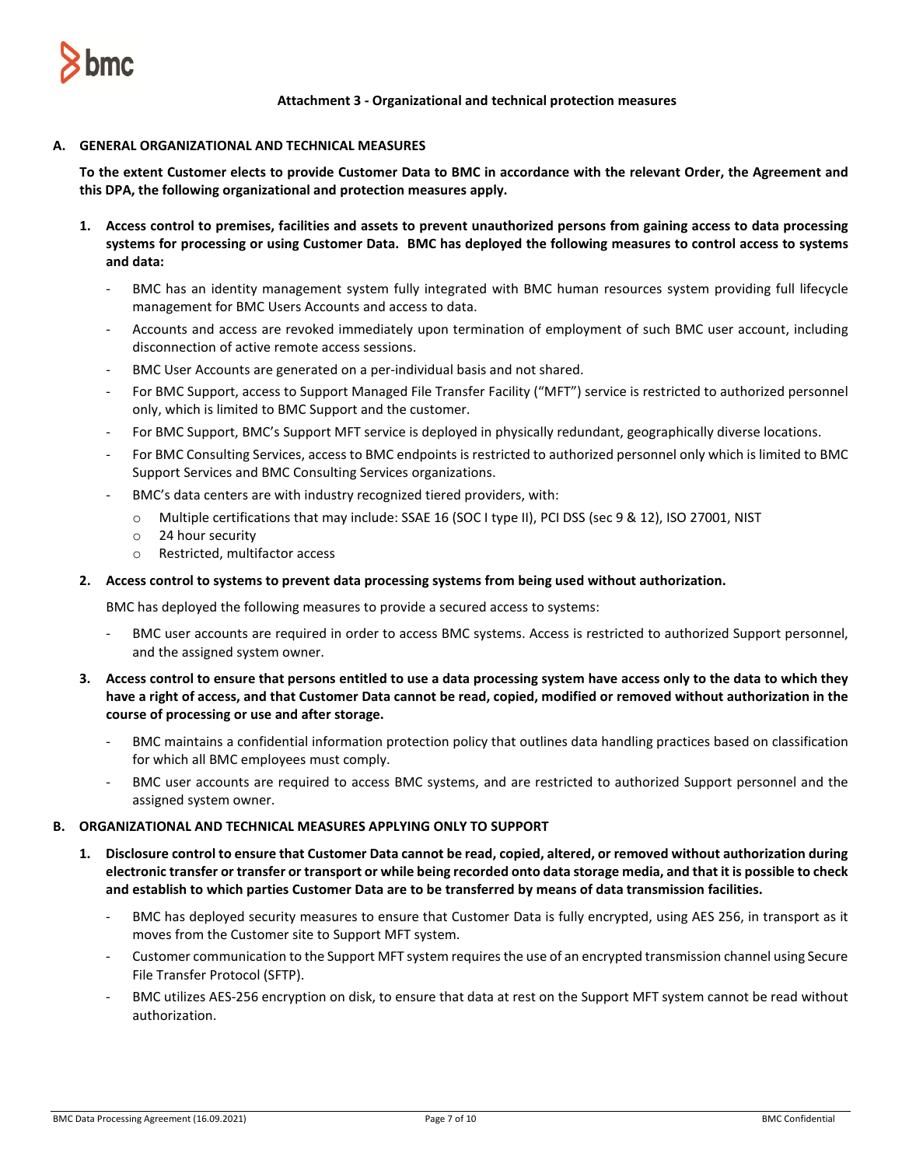

**Attachment 3 - Organizational and technical protection measures**

#### **A. GENERAL ORGANIZATIONAL AND TECHNICAL MEASURES**

**To the extent Customer elects to provide Customer Data to BMC in accordance with the relevant Order, the Agreement and this DPA, the following organizational and protection measures apply.** 

- **1. Access control to premises, facilities and assets to prevent unauthorized persons from gaining access to data processing systems for processing or using Customer Data. BMC has deployed the following measures to control access to systems and data:**
	- BMC has an identity management system fully integrated with BMC human resources system providing full lifecycle management for BMC Users Accounts and access to data.
	- Accounts and access are revoked immediately upon termination of employment of such BMC user account, including disconnection of active remote access sessions.
	- BMC User Accounts are generated on a per-individual basis and not shared.
	- For BMC Support, access to Support Managed File Transfer Facility ("MFT") service is restricted to authorized personnel only, which is limited to BMC Support and the customer.
	- For BMC Support, BMC's Support MFT service is deployed in physically redundant, geographically diverse locations.
	- For BMC Consulting Services, access to BMC endpoints is restricted to authorized personnel only which is limited to BMC Support Services and BMC Consulting Services organizations.
	- BMC's data centers are with industry recognized tiered providers, with:
		- o Multiple certifications that may include: SSAE 16 (SOC I type II), PCI DSS (sec 9 & 12), ISO 27001, NIST
		- o 24 hour security
		- o Restricted, multifactor access

#### **2. Access control to systems to prevent data processing systems from being used without authorization.**

BMC has deployed the following measures to provide a secured access to systems:

- BMC user accounts are required in order to access BMC systems. Access is restricted to authorized Support personnel, and the assigned system owner.
- **3. Access control to ensure that persons entitled to use a data processing system have access only to the data to which they have a right of access, and that Customer Data cannot be read, copied, modified or removed without authorization in the course of processing or use and after storage.**
	- BMC maintains a confidential information protection policy that outlines data handling practices based on classification for which all BMC employees must comply.
	- BMC user accounts are required to access BMC systems, and are restricted to authorized Support personnel and the assigned system owner.

#### **B. ORGANIZATIONAL AND TECHNICAL MEASURES APPLYING ONLY TO SUPPORT**

- **1. Disclosure control to ensure that Customer Data cannot be read, copied, altered, or removed without authorization during electronic transfer or transfer or transport or while being recorded onto data storage media, and that it is possible to check and establish to which parties Customer Data are to be transferred by means of data transmission facilities.** 
	- BMC has deployed security measures to ensure that Customer Data is fully encrypted, using AES 256, in transport as it moves from the Customer site to Support MFT system.
	- Customer communication to the Support MFT system requires the use of an encrypted transmission channel using Secure File Transfer Protocol (SFTP).
	- BMC utilizes AES-256 encryption on disk, to ensure that data at rest on the Support MFT system cannot be read without authorization.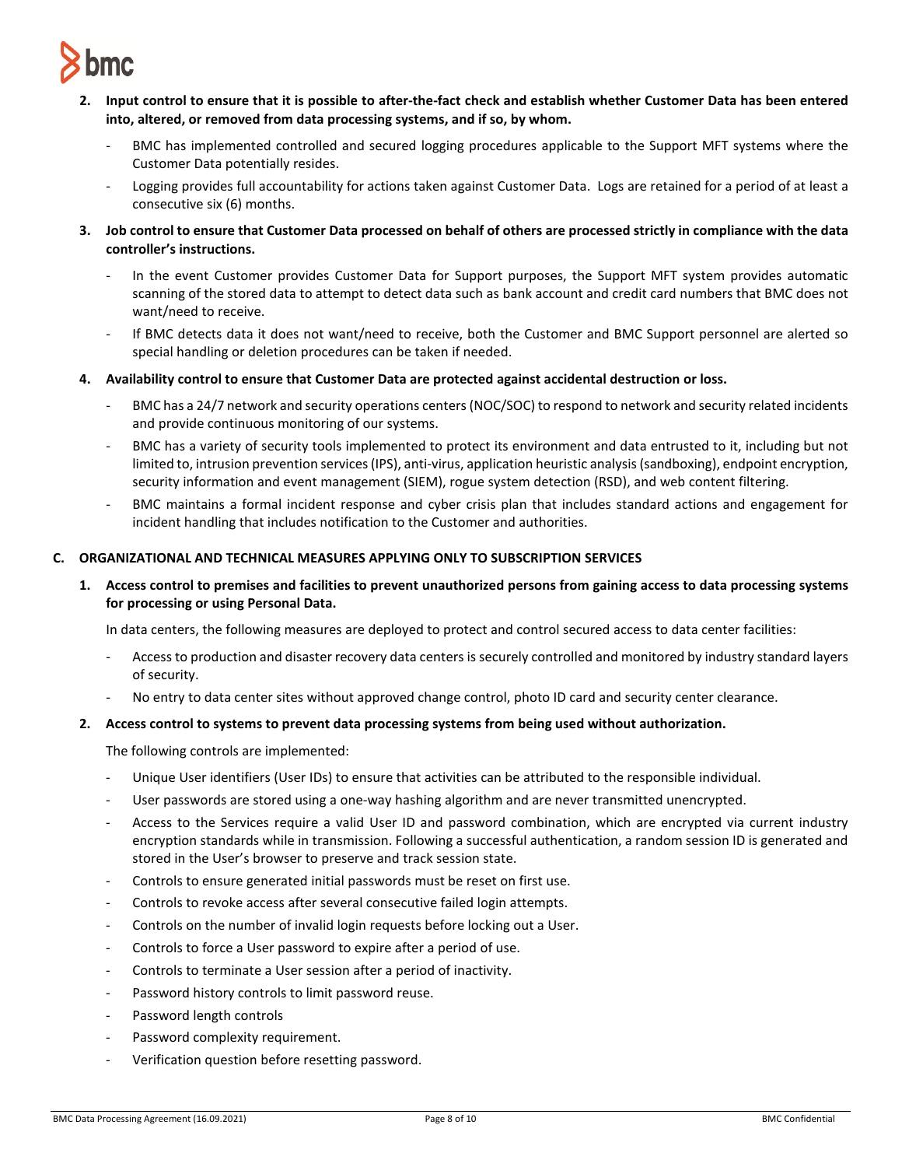

- **2. Input control to ensure that it is possible to after-the-fact check and establish whether Customer Data has been entered into, altered, or removed from data processing systems, and if so, by whom.** 
	- BMC has implemented controlled and secured logging procedures applicable to the Support MFT systems where the Customer Data potentially resides.
	- Logging provides full accountability for actions taken against Customer Data. Logs are retained for a period of at least a consecutive six (6) months.
- **3. Job control to ensure that Customer Data processed on behalf of others are processed strictly in compliance with the data controller's instructions.** 
	- In the event Customer provides Customer Data for Support purposes, the Support MFT system provides automatic scanning of the stored data to attempt to detect data such as bank account and credit card numbers that BMC does not want/need to receive.
	- If BMC detects data it does not want/need to receive, both the Customer and BMC Support personnel are alerted so special handling or deletion procedures can be taken if needed.
- **4. Availability control to ensure that Customer Data are protected against accidental destruction or loss.** 
	- BMC has a 24/7 network and security operations centers (NOC/SOC) to respond to network and security related incidents and provide continuous monitoring of our systems.
	- BMC has a variety of security tools implemented to protect its environment and data entrusted to it, including but not limited to, intrusion prevention services (IPS), anti-virus, application heuristic analysis (sandboxing), endpoint encryption, security information and event management (SIEM), rogue system detection (RSD), and web content filtering.
	- BMC maintains a formal incident response and cyber crisis plan that includes standard actions and engagement for incident handling that includes notification to the Customer and authorities.

## **C. ORGANIZATIONAL AND TECHNICAL MEASURES APPLYING ONLY TO SUBSCRIPTION SERVICES**

**1. Access control to premises and facilities to prevent unauthorized persons from gaining access to data processing systems for processing or using Personal Data.**

In data centers, the following measures are deployed to protect and control secured access to data center facilities:

- Access to production and disaster recovery data centers is securely controlled and monitored by industry standard layers of security.
- No entry to data center sites without approved change control, photo ID card and security center clearance.

# **2. Access control to systems to prevent data processing systems from being used without authorization.**

The following controls are implemented:

- Unique User identifiers (User IDs) to ensure that activities can be attributed to the responsible individual.
- User passwords are stored using a one-way hashing algorithm and are never transmitted unencrypted.
- Access to the Services require a valid User ID and password combination, which are encrypted via current industry encryption standards while in transmission. Following a successful authentication, a random session ID is generated and stored in the User's browser to preserve and track session state.
- Controls to ensure generated initial passwords must be reset on first use.
- Controls to revoke access after several consecutive failed login attempts.
- Controls on the number of invalid login requests before locking out a User.
- Controls to force a User password to expire after a period of use.
- Controls to terminate a User session after a period of inactivity.
- Password history controls to limit password reuse.
- Password length controls
- Password complexity requirement.
- Verification question before resetting password.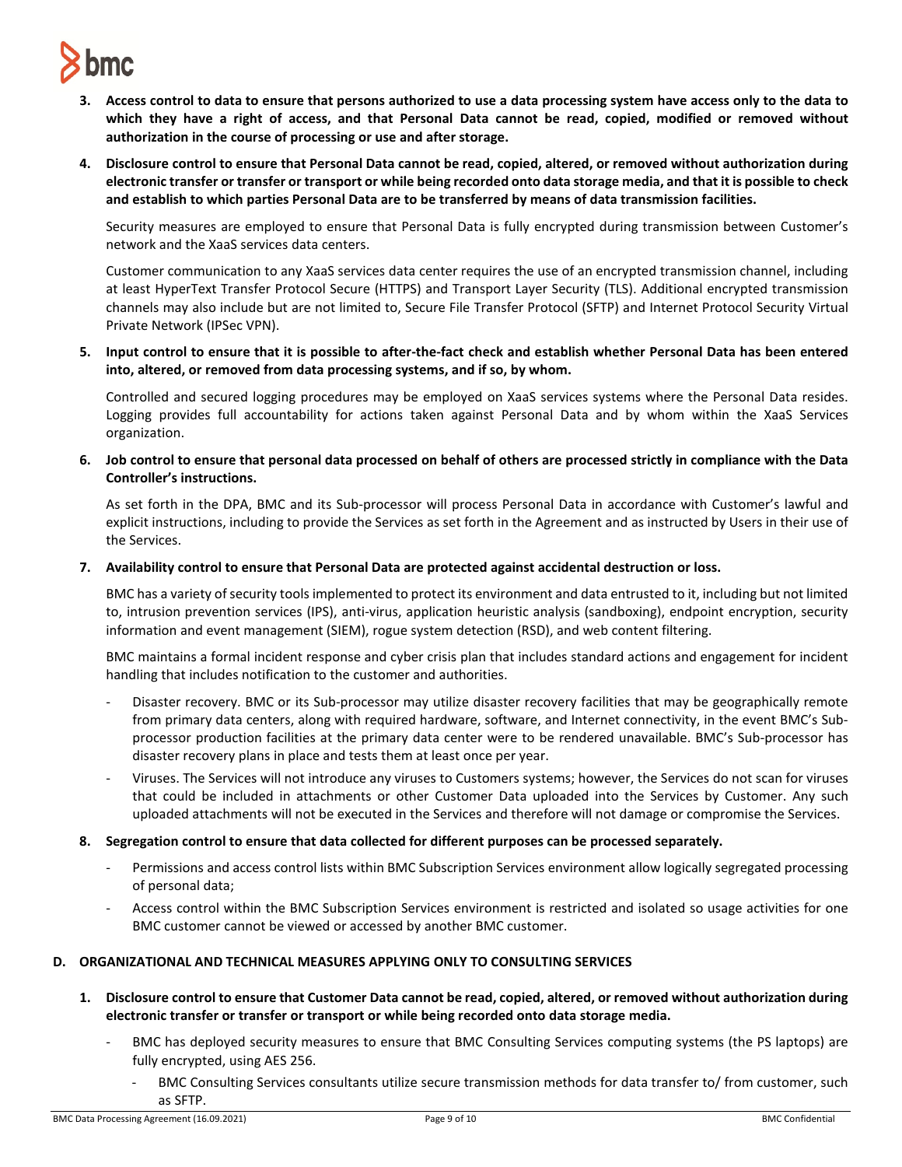# **bmc**

- **3. Access control to data to ensure that persons authorized to use a data processing system have access only to the data to which they have a right of access, and that Personal Data cannot be read, copied, modified or removed without authorization in the course of processing or use and after storage.**
- **4. Disclosure control to ensure that Personal Data cannot be read, copied, altered, or removed without authorization during electronic transfer or transfer or transport or while being recorded onto data storage media, and that it is possible to check and establish to which parties Personal Data are to be transferred by means of data transmission facilities.**

Security measures are employed to ensure that Personal Data is fully encrypted during transmission between Customer's network and the XaaS services data centers.

Customer communication to any XaaS services data center requires the use of an encrypted transmission channel, including at least HyperText Transfer Protocol Secure (HTTPS) and Transport Layer Security (TLS). Additional encrypted transmission channels may also include but are not limited to, Secure File Transfer Protocol (SFTP) and Internet Protocol Security Virtual Private Network (IPSec VPN).

**5. Input control to ensure that it is possible to after-the-fact check and establish whether Personal Data has been entered into, altered, or removed from data processing systems, and if so, by whom.**

Controlled and secured logging procedures may be employed on XaaS services systems where the Personal Data resides. Logging provides full accountability for actions taken against Personal Data and by whom within the XaaS Services organization.

**6. Job control to ensure that personal data processed on behalf of others are processed strictly in compliance with the Data Controller's instructions.**

As set forth in the DPA, BMC and its Sub-processor will process Personal Data in accordance with Customer's lawful and explicit instructions, including to provide the Services as set forth in the Agreement and as instructed by Users in their use of the Services.

**7. Availability control to ensure that Personal Data are protected against accidental destruction or loss.**

BMC has a variety of security tools implemented to protect its environment and data entrusted to it, including but not limited to, intrusion prevention services (IPS), anti-virus, application heuristic analysis (sandboxing), endpoint encryption, security information and event management (SIEM), rogue system detection (RSD), and web content filtering.

BMC maintains a formal incident response and cyber crisis plan that includes standard actions and engagement for incident handling that includes notification to the customer and authorities.

- Disaster recovery. BMC or its Sub-processor may utilize disaster recovery facilities that may be geographically remote from primary data centers, along with required hardware, software, and Internet connectivity, in the event BMC's Subprocessor production facilities at the primary data center were to be rendered unavailable. BMC's Sub-processor has disaster recovery plans in place and tests them at least once per year.
- Viruses. The Services will not introduce any viruses to Customers systems; however, the Services do not scan for viruses that could be included in attachments or other Customer Data uploaded into the Services by Customer. Any such uploaded attachments will not be executed in the Services and therefore will not damage or compromise the Services.
- **8. Segregation control to ensure that data collected for different purposes can be processed separately.** 
	- Permissions and access control lists within BMC Subscription Services environment allow logically segregated processing of personal data;
	- Access control within the BMC Subscription Services environment is restricted and isolated so usage activities for one BMC customer cannot be viewed or accessed by another BMC customer.

# **D. ORGANIZATIONAL AND TECHNICAL MEASURES APPLYING ONLY TO CONSULTING SERVICES**

- **1. Disclosure control to ensure that Customer Data cannot be read, copied, altered, or removed without authorization during electronic transfer or transfer or transport or while being recorded onto data storage media.**
	- BMC has deployed security measures to ensure that BMC Consulting Services computing systems (the PS laptops) are fully encrypted, using AES 256.
		- BMC Consulting Services consultants utilize secure transmission methods for data transfer to/ from customer, such as SFTP.